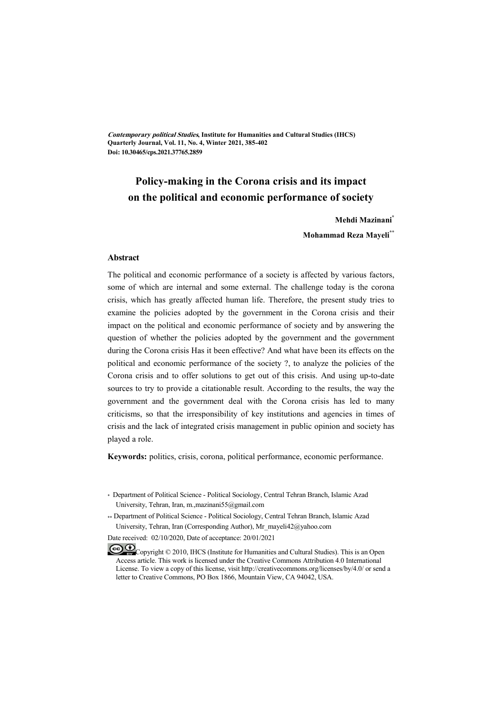**Contemporary political Studies, Institute for Humanities and Cultural Studies (IHCS) Quarterly Journal, Vol. 11, No. 4, Winter 2021, 385-402 Doi: 10.30465/cps.2021.37765.2859** 

# **Policy-making in the Corona crisis and its impact on the political and economic performance of society**

**Mehdi Mazinani\***

**Mohammad Reza Mayeli\*\***

#### **Abstract**

The political and economic performance of a society is affected by various factors, some of which are internal and some external. The challenge today is the corona crisis, which has greatly affected human life. Therefore, the present study tries to examine the policies adopted by the government in the Corona crisis and their impact on the political and economic performance of society and by answering the question of whether the policies adopted by the government and the government during the Corona crisis Has it been effective? And what have been its effects on the political and economic performance of the society ?, to analyze the policies of the Corona crisis and to offer solutions to get out of this crisis. And using up-to-date sources to try to provide a citationable result. According to the results, the way the government and the government deal with the Corona crisis has led to many criticisms, so that the irresponsibility of key institutions and agencies in times of crisis and the lack of integrated crisis management in public opinion and society has played a role.

**Keywords:** politics, crisis, corona, political performance, economic performance.

Date received: 02/10/2020, Date of acceptance: 20/01/2021

<sup>\*</sup> Department of Political Science - Political Sociology, Central Tehran Branch, Islamic Azad University, Tehran, Iran, m.,mazinani55@gmail.com

<sup>\*\*</sup> Department of Political Science - Political Sociology, Central Tehran Branch, Islamic Azad University, Tehran, Iran (Corresponding Author), Mr\_mayeli42@yahoo.com

Copyright © 2010, IHCS (Institute for Humanities and Cultural Studies). This is an Open Access article. This work is licensed under the Creative Commons Attribution 4.0 International License. To view a copy of this license, visit http://creativecommons.org/licenses/by/4.0/ or send a letter to Creative Commons, PO Box 1866, Mountain View, CA 94042, USA.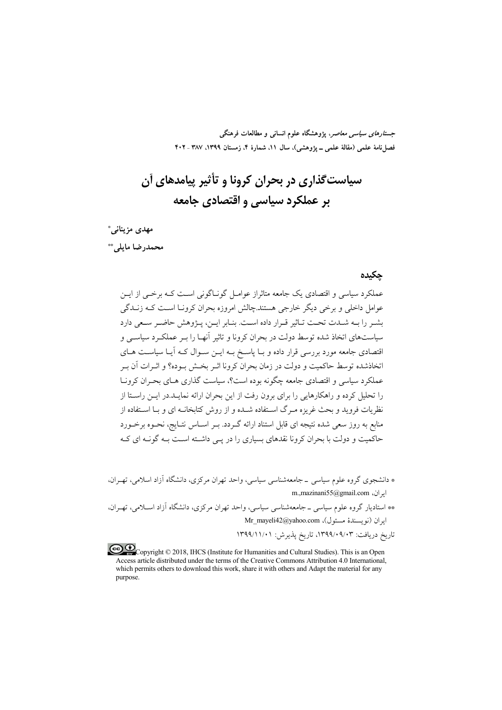*جستارهای سیاسی معاصر*، پژوهشگاه علوم انسانی و مطالعات فرهنگی فصلنامهٔ علمی (مقالهٔ علمی ــ پژوهشی)، سال ۱۱، شمارهٔ ۴، زمستان ۱۳۹۹، ۳۸۷ ـ ۴۰۲

# سياست گذاري در بحران کرونا و تأثير پيامدهاي آن بر عملکرد سیاسی و اقتصادی جامعه

مهدى مزيناني\* محمدرضا مايلي. \*\*

#### حكىدە

عملکرد سیاسی و اقتصادی یک جامعه متاثراز عوامیل گونیاگونی است کیه برخبی از این عوامل داخلی و برخی دیگر خارجی هستند.چالش امروزه بحران کرونـا اسـت کـه زنــدگی بشير را بـه شــدت تحـت تــاثير قــرار داده اسـت. بنــابر ايــن، پــژوهش حاضــر ســعى دارد سیاستهای اتخاذ شده توسط دولت در بحران کرونا و تاثیر آنهـا را بـر عملکـرد سیاســی و اقتصادی جامعه مورد بررسی قرار داده و بـا پاسـخ بــه ایــن ســوال کــه آیــا سیاســت هــای اتخاذشده توسط حاکمت و دولت در زمان بحران کرونا اثیر بخش بوده؟ و اثیرات آن ب عملکرد سیاسی و اقتصادی جامعه چگونه بوده است؟، سیاست گذاری هـای بحـران کرونـا را تحلیل کرده و راهکارهایی را برای برون رفت از این بحران ارائه نمایـد.در ایــن راسـتا از نظریات فروید و بحث غریزه مـرگ اســتفاده شــده و از روش کتابخانــه ای و بــا اســتفاده از منابع به روز سعی شده نتیجه ای قابل استناد ارائه گـردد. بــر اســاس نتــایج، نحــوه برخــورد حاکمیت و دولت با بحران کرونا نقدهای بسیاری را در یـی داشـته اسـت بـه گونــه ای کــه

\* دانشجوی گروه علوم سیاسی \_ جامعهشناسی سیاسی، واحد تھران مرکزی، دانشگاه آزاد اسلامی، تھے ان، m.,mazinani55@gmail.com

\*\* استادیار گروه علوم سیاسی ـ جامعهشناسی سیاسی، واحد تهران مرکزی، دانشگاه آزاد اسـلامی، تهـران، ايران (نويسندة مسئول)، Mr\_mayeli42@yahoo.com

تاريخ دريافت: ۰۹/۰۹/۰۹/۰۹/۱۳۹۹، تاريخ پذيرش: ۱۳۹۹/۱۱/۰۱

Copyright © 2018, IHCS (Institute for Humanities and Cultural Studies). This is an Open Access article distributed under the terms of the Creative Commons Attribution 4.0 International, which permits others to download this work, share it with others and Adapt the material for any purpose.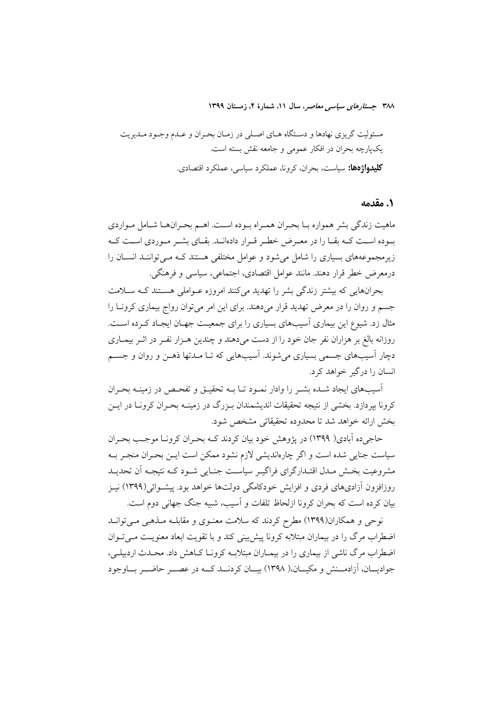مسئولیت گریزی نهادها و دستگاه هـای اصـلی در زمـان بحـران و عـدم وجـود مـدیریت یکپارچه بحران در افکار عمومی و جامعه نقش بسته است. **کلیدواژهها:** سیاست، بحران، کرونا، عملکرد سیاسی، عملکرد اقتصادی.

### ١. مقدمه

ماهيت زندگي بشر همواره بـا بحـران همـراه بـوده اسـت. اهـم بحـرانهـا شـامل مـواردي بوده اسـت كـه بقـا را در معـرض خطـر قـرار دادهانـد. بقـاي بشـر مـوردي اسـت كـه زیرمجموعههای بسیاری را شامل می شود و عوامل مختلفی هستند کـه مـی تواننـد انسـان را درمع ض خطر قرار دهند. مانند عوامل اقتصادی، اجتماعی، سیاسی و فرهنگی.

بحرانهایی که بیشتر زندگی بشر را تهدید میکنند امروزه عـواملی هســتند کـه ســلامت جسم و روان را در معرض تهدید قرار میدهند. برای این امر میتوان رواج بیماری کرونا را مثال زد. شیوع این بیماری آسیبهای بسیاری را برای جمعیت جهـان ایجـاد کـرده اسـت. روزانه بالغ بر هزاران نفر جان خود را از دست میدهند و چندین هـزار نفـر در اثـر بیمـاری دچار آسیبهای جسمی بسیاری میشوند. آسیبهایی که تـا مـدتها ذهـن و روان و جســم انسان را درگیر خواهد کرد.

اّسیبهای ایجاد شـده بشـر را وادار نمـود تـا بــه تحقیــق و تفحـص در زمینــه بحـران کرونا بپردازد. بخشی از نتیجه تحقیقات اندیشمندان بـزرگ در زمینـه بحـران کرونـا در ایـن يخش ارائه خواهد شد تا محدوده تحقيقاتي مشخص شود.

حاجی ده آبادی( ۱۳۹۹) در یژوهش خود بیان کردند کـه بحـران کرونـا موجـب بحـران سیاست جنایی شده است و اگر چارهاندیشی لازم نشود ممکن است ایـن بحـران منجـر بـه مشروعیت بخـش مـدل اقتـدارگرای فراگیــر سیاســت جنــایی شــود کــه نتیجـه آن تحدیــد روزافزون آزادیهای فردی و افزایش خودکامگی دولتها خواهد بود. پیشـوائی(۱۳۹۹) نیـز بیان کرده است که بحران کرونا ازلحاظ تلفات و آسیب، شبیه جنگ جهانی دوم است.

نوحی و همکاران(۱۳۹۹) مطرح کردند که سلامت معنـوی و مقابلــه مــذهبی مــی توانــد اضطراب مرگ را در بیماران مبتلابه کرونا پیش بینی کند و با تقویت ابعاد معنویـت مـی تـوان اضطراب مرگ ناشی از بیماری را در بیمـاران مبتلابــه کرونــا کــاهش داد. محــدث اردبیلــی، جواديــان، آزادمــنش و مكيــان،( ١٣٩٨) بيــان كردنــد كــه در عصــر حاضــر بــاوجود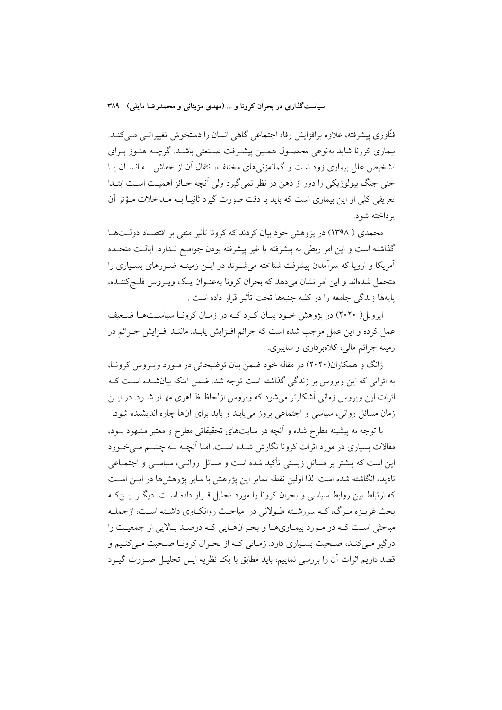فنّاوری پیشرفته، علاوه برافزایش رفاه اجتماعی گاهی انسان را دستخوش تغییراتـی مـیکنـد. بیماری کرونا شاید بهنوعی محصـول همـین پیشـرفت صـنعتی باشـد. گرچــه هنـوز بـرای تشخیص علل بیماری زود است و گمانهزنی های مختلف، انتقال آن از خفاش بـه انســان پــا حتی جنگ بیولوژیکی را دور از ذهن در نظر نمی گیرد ولی آنچه حـائز اهمیـت اسـت ابتـدا تعریفی کلی از این بیماری است که باید با دقت صورت گیرد ثانیـا بــه مــداخلات مــؤثر آن ير داخته شو د.

محمدی ( ۱۳۹۸) در یژوهش خود بیان کردند که کرونا تأثیر منفی بر اقتصـاد دولــتهــا گذاشته است و این امر ربطی به پیشرفته یا غیر پیشرفته بودن جوامـع نـدارد. ایالـت متحـده آمریکا و اروپا که سرآمدان پیشرفت شناخته می شــوند در ایــن زمینــه ضــررهای بســیاری را متحمل شدهاند و این امر نشان می دهد که بحران کرونا بهعنـوان یـک ویـروس فلـجکننـده، يايهها زندگي جامعه را در كليه جنبهها تحت تأثير قرار داده است .

ایرویل( ۲۰۲۰) در یژوهش خــود بیــان کــرد کــه در زمــان کرونــا سیاســتهــا ضــعیف عمل كرده و اين عمل موجب شده است كه جرائم افـزايش يابـد. ماننـد افـزايش جـرائم در زمينه جرائم مالي، كلاهرداري و ساييري.

ژانگ و همکاران(۲۰۲۰) در مقاله خود ضمن بیان توضیحاتی در مـورد ویـروس کرونـا، به اثراتی که این ویروس بر زندگی گذاشته است توجه شد. ضمن اینکه بیان شده است ک اثرات این ویروس زمانی آشکارتر می شود که ویروس ازلحاظ ظـاهری مهـار شـود. در ایــن زمان مسائل روانی، سیاسی و اجتماعی بروز می پابند و باید برای آنها چاره اندیشیده شود.

با توجه به پیشینه مطرح شده و اَنچه در سایتهای تحقیقاتی مطرح و معتبر مشهود بــود، مقالات بسیاری در مورد اثرات کرونا نگارش شـده اسـت. امـا آنچـه بـه چشــم مـیخـورد این است که بیشتر بر مسائل زیستی تأکید شده است و مسائل روانـی، سیاسـی و اجتمــاعی ناديده انگاشته شده است. لذا اولين نقطه تمايز اين يژوهش با ساير پژوهش ها در ايــن اســت که ارتباط بین روابط سیاسی و بحران کرونا را مورد تحلیل قـرار داده اسـت. دیگـر ایــن کــه بحث غریـزه مـرگ، کـه سررشـته طـولانی در مباحـث روانکـاوی داشـته اسـت، ازجملـه مباحثی است کـه در مـورد بیمـاریهـا و بحـرانهـایی کـه درصـد بـالایی از جمعیـت را درگیر مـیکنـد، صـحبت بسـیاري دارد. زمـانی کـه از بحـران کرونـا صـحبت مـیکنـیم و قصد داریم اثرات اَن را بررسی نماییم، باید مطابق با یک نظریه ایــن تحلیــل صــورت گیــرد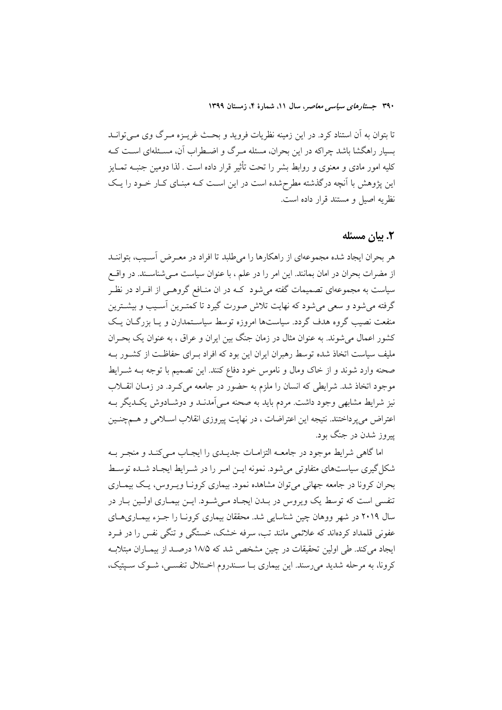تا بتوان به آن استناد کرد. در این زمینه نظریات فروید و بحث غریـزه مـرگ وی مـی توانــد بسیار راهگشا باشد چراکه در این بحران، مسئله مـرگ و اضـطراب آن، مسـئلهای اسـت کــه کلیه امور مادی و معنوی و روابط بشر را تحت تأثیر قرار داده است . لذا دومین جنبـه تمــایز این پژوهش با آنچه درگذشته مطرح شده است در این است کـه مبنـای کـار خـود را یـک نظريه اصيل و مستند قرار داده است.

## ٢. يبان مسئله

هر بحران ايجاد شده مجموعهاي از راهكارها را مىطلبد تا افراد در معـرض آسـيب، بتواننـد از مضرات بحران در امان بمانند. این امر را در علم ، با عنوان سیاست مـیشناســند. در واقــع سیاست به مجموعهای تصمیمات گفته می شود کـه در ان منـافع گروهـی از افـراد در نظـر گرفته می شود و سعی می شود که نهایت تلاش صورت گیرد تا کمتـرین آسـیب و بیشــترین منفعت نصیب گروه هدف گردد. سیاستها امروزه توسط سیاسـتمدارن و یـا بزرگــان یــک کشور اعمال می شوند. به عنوان مثال در زمان جنگ بین ایران و عراق ، به عنوان یک بحـران ملیف سیاست اتخاذ شده توسط رهبران ایران این بود که افراد بـرای حفاظـت از کشـور بـه صحنه وارد شوند و از خاک ومال و ناموس خود دفاع کنند. این تصمیم با توجه بــه شــرایط موجود اتخاذ شد. شرایطی که انسان را ملزم به حضور در جامعه می کـرد. در زمــان انقــلاب نیز شرایط مشابهی وجود داشت. مردم باید به صحنه مـی]مدنــد و دوشــادوش یکــدیگر بــه اعتراض می پرداختند. نتیجه این اعتراضات ، در نهایت پیروزی انقلاب اسـلامی و هــمجنـین پیروز شدن در جنگ بود.

اما گاهی شرایط موجود در جامعــه التزامــات جدیــدی را ایجــاب مــیکنــد و منجــر بــه شکل گیری سیاستهای متفاوتی می شود. نمونه ایــن امـر را در شــرایط ایجـاد شــده توسـط بحران کرونا در جامعه جهانی می توان مشاهده نمود. بیماری کرونـا ویــروس، یـک بیمــاری تنفسی است که توسط یک ویروس در بـدن ایجـاد مـیشـود. ایـن بیمـاری اولـین بـار در سال ۲۰۱۹ در شهر ووهان چین شناسایی شد. محققان بیماری کرونـا را جـزء بیمـاریهـای عفونی قلمداد کردهاند که علائمی مانند تب، سرفه خشک، خستگی و تنگی نفس را در فـرد ایجاد می کند. طی اولین تحقیقات در چین مشخص شد که ۱۸/۵ درصـد از بیمـاران مبتلابـه کرونا، به مرحله شدید می رسند. این بیماری بـا سـندروم اخـتلال تنفســی، شــوک ســیتیک،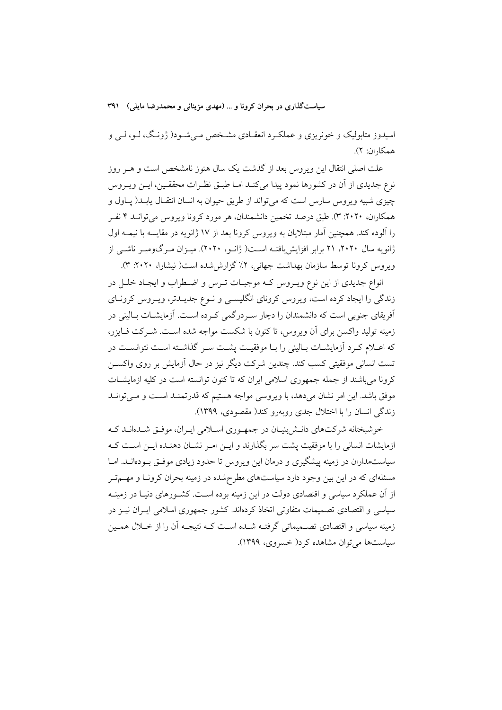اسیدوز متابولیک و خونریزی و عملک د انعقـادی مشـخص مـی.شـود( ژونـگ، لـو، لـی و همكاران: ٢).

علت اصلی انتقال این ویروس بعد از گذشت یک سال هنوز نامشخص است و هــر روز نوع جديدي از آن در كشورها نمود پيدا ميكنـد امـا طبــق نظـرات محققــين، ايــن ويــروس چیزی شبیه ویروس سارس است که می تواند از طریق حیوان به انسان انتقـال یابـد( پـاول و همکاران، ۲۰۲۰: ۳). طبق درصد تخمین دانشمندان، هر مورد کرونا ویروس می توانـد ۴ نفـر را آلوده کند. همچنین آمار مبتلایان به ویروس کرونا بعد از ۱۷ ژانویه در مقایسه با نیمــه اول ژانویه سال ۲۰۲۰، ۲۱ برابر افزایش یافتـه اسـت( ژانـو، ۲۰۲۰). میـزان مـرگومیـر ناشـی از ویروس کرونا توسط سازمان بهداشت جهانی، ۲٪ گزارششده است( نیشارا، ۲۰۲۰: ۳).

انواع جدیدی از این نوع ویـروس کـه موجبـات تـرس و اضـطراب و ایجـاد خلـل در زندگی را ایجاد کرده است، ویروس کرونای انگلیســی و نــوع جدیــدتر، ویــروس کرونــای آفریقای جنوبی است که دانشمندان را دچار سـردرگمی کـرده اسـت. آزمایشــات بــالینی در زمینه تولید واکسن برای آن ویروس، تا کنون با شکست مواجه شده است. شــرکت فــایزر، که اعـلام کـرد اّزمایشــات بــالینی را بــا موفقیــت یشــت ســر گذاشــته اســت نتوانســت در تست انسانی موفقیتی کسب کند. چندین شرکت دیگر نیز در حال آزمایش بر روی واکســن کرونا می باشند از جمله جمهوری اسلامی ایران که تا کنون توانسته است در کلیه ازمایشـات موفق باشد. این امر نشان میدهد، با ویروسی مواجه هستیم که قدرتمنـد اسـت و مـیتوانـد زندگی انسان را با اختلال جدی روبهرو کند( مقصودی، ۱۳۹۹).

خوشبختانه شرکتهای دانـش بنیـان در جمهـوری اسـلامی ایـران، موفـق شـدهانـد کـه ازمایشات انسانی را با موفقیت پشت سر بگذارند و ایـن امـر نشـان دهنـده ایـن اسـت کـه سیاستمداران در زمینه پیشگیری و درمان این ویروس تا حدود زیادی موفـق بـودهانــد. امــا مسئلهای که در این بین وجود دارد سیاستهای مطرحشده در زمینه بحران کرونـا و مهــمتـر از آن عملکرد سیاسی و اقتصادی دولت در این زمینه بوده اسـت. کشــورهای دنیــا در زمینــه سیاسی و اقتصادی تصمیمات متفاوتی اتخاذ کردهاند. کشور جمهوری اسلامی ایـران نیــز در زمینه سیاسی و اقتصادی تصـمیماتی گرفتـه شـده اسـت کـه نتیجـه آن را از خــلال همـین سیاستها می توان مشاهده کرد( خسروی، ۱۳۹۹).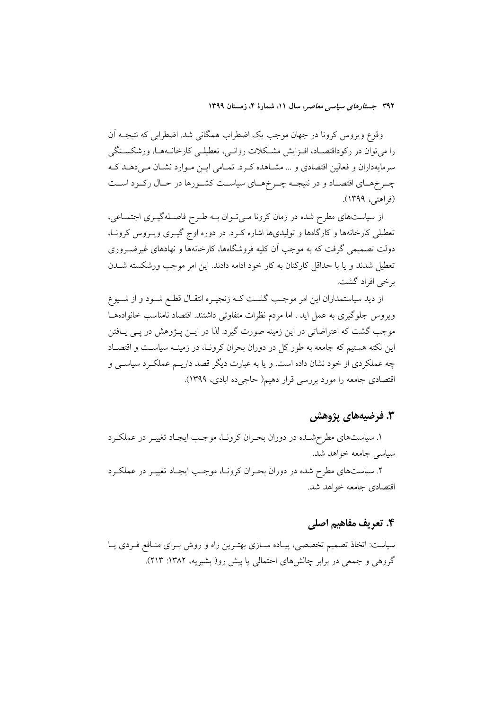وقوع ویروس کرونا در جهان موجب یک اضطراب همگانی شد. اضطرابی که نتیجـه اَن را میتوان در رکوداقتصـاد، افـزایش مشـکلات روانـی، تعطیلـی کارخانــههـا، ورشکســتگی سرمایهداران و فعالین اقتصادی و … مشـاهده کـرد. تمـامی ایــن مـوارد نشـان مـی(دهــد کـه چـرخهـاي اقتصـاد و در نتيجــه چــرخهــاي سياســت كشــورها در حــال ركــود اســت (فراهتی، ۱۳۹۹).

از سیاستهای مطرح شده در زمان کرونا میتوان بـه طـرح فاصـلهگیـری اجتمـاعی، تعطیلی کارخانهها و کارگاهها و تولیدیها اشاره کـرد. در دوره اوج گیـری ویـروس کرونـا، دولت تصمیمی گرفت که به موجب آن کلیه فروشگاهها، کارخانهها و نهادهای غیرضـروری تعطیل شدند و یا با حداقل کارکنان به کار خود ادامه دادند. این امر موجب ورشکسته شــدن بر خي افراد گشت.

از دید سیاستمداران این امر موجب گشـت کـه زنجیـره انتقـال قطـع شـود و از شــیوع ویروس جلوگیری به عمل اید . اما مردم نظرات متفاوتی داشتند. اقتصاد نامناسب خانوادهها موجب گشت که اعتراضاتی در این زمینه صورت گیرد. لذا در ایــن پــژوهش در پــی پــافتن این نکته هستیم که جامعه به طور کل در دوران بحران کرونـا، در زمینـه سیاســت و اقتصــاد چه عملکردی از خود نشان داده است. و یا به عبارت دیگر قصد داریـم عملکـرد سیاســی و اقتصادي جامعه را مورد بررسي قرار دهيم( حاجي ده ابادي، ١٣٩٩).

## **۳. فرضیههای پژوهش**

۱. سیاستهای مطرحشـده در دوران بحـران کرونـا، موجـب ایجـاد تغییـر در عملکـرد سباسی جامعه خواهد شد.

۲. سیاستهای مطرح شده در دوران بحـران کرونـا، موجـب ایجـاد تغییـر در عملکـرد اقتصادی جامعه خواهد شد.

## ۴. تعریف مفاهیم اصلی

سیاست: اتخاذ تصمیم تخصصی، پیـاده سـازی بهتـرین راه و روش بـرای منـافع فـردی یـا گروهی و جمعی در برابر چالشهای احتمالی یا پیش رو( بشیریه، ۱۳۸۲: ۲۱۳).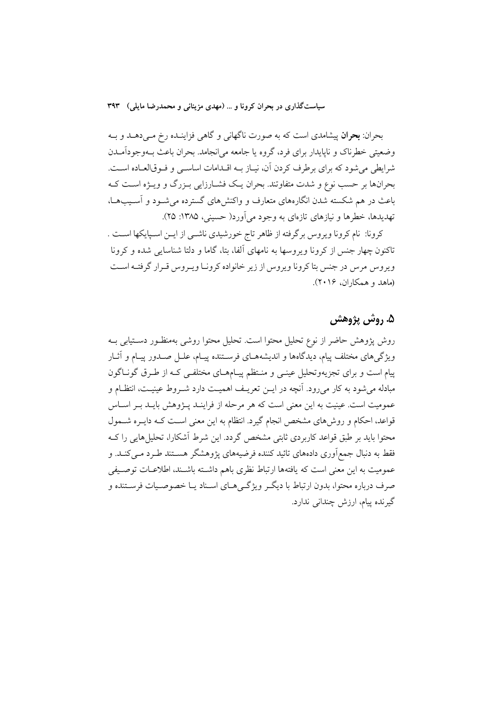بحران: **بحران** پیشامدی است که به صورت ناگهان<sub>ی</sub> و گاه<sub>ی</sub> فزاینــده رخ مــیcهــد و بــه وضعيتي خطرناک و ناپايدار براي فرد، گروه يا جامعه مي|نجامد. بحران باعث بــهوجودآمــدن شرايطي مي شود كه براي برطرف كردن آن، نيـاز بــه اقــدامات اساســي و فــوقالعــاده اســت. بحرانها بر حسب نوع و شدت متفاوتند. بحران یـک فشـارزایی بـزرگ و ویـژه اسـت کـه باعث در هم شکسته شدن انگارههای متعارف و واکنشهای گسترده می شـود و آسـیبهـا، تهدیدها، خطرها و نیازهای تازهای به وجود میآورد( حسینی، ۱۳۸۵: ۲۵).

كرونا: نام كرونا ويروس برگرفته از ظاهر تاج خورشيدي ناشــي از ايــن اسـبايكها اسـت . تاکنون چهار جنس از کرونا ویروسها به نامهای آلفا، بتا، گاما و دلتا شناسایی شده و کرونا ویروس مرس در جنس بتا کرونا ویروس از زیر خانواده کرونـا ویـروس قـرار گرفتـه اسـت (ماهد و همکاران، ۲۰۱۶).

# ۵. روش پژوهش

روش پژوهش حاضر از نوع تحلیل محتوا است. تحلیل محتوا روشی بهمنظـور دسـتیابی بــه ويژگىهاى مختلف پيام، ديدگاهها و انديشههـاى فرسـتنده پيـام، علـل صـدور پيـام و آثـار پیام است و برای تجزیهوتحلیل عینـی و منـتظم پیـامهـای مختلفـی کـه از طـرق گونـاگون مبادله می شود به کار می رود. آنچه در ایــن تعریــف اهمیــت دارد شــروط عینیــت، انتظــام و عمومیت است. عینیت به این معنی است که هر مرحله از فراینـد پـژوهش بایـد بـر اسـاس قواعد، احکام و روش۵ای مشخص انجام گیرد. انتظام به این معنی است کـه دایـره شــمول محتوا باید بر طبق قواعد کاربردی ثابتی مشخص گردد. این شرط آشکارا، تحلیل هایی را ک فقط به دنبال جمع|وری دادههای تائید کننده فرضیههای پژوهشگر هسـتند طـرد مـیکنــد. و عمومیت به این معنی است که یافتهها ارتباط نظری باهم داشته باشـند، اطلاعـات توصـیفی صرف درباره محتوا، بدون ارتباط با دیگـر ویژگـیهـای اسـناد یـا خصوصـیات فرسـتنده و گیرنده پیام، ارزش چندانی ندارد.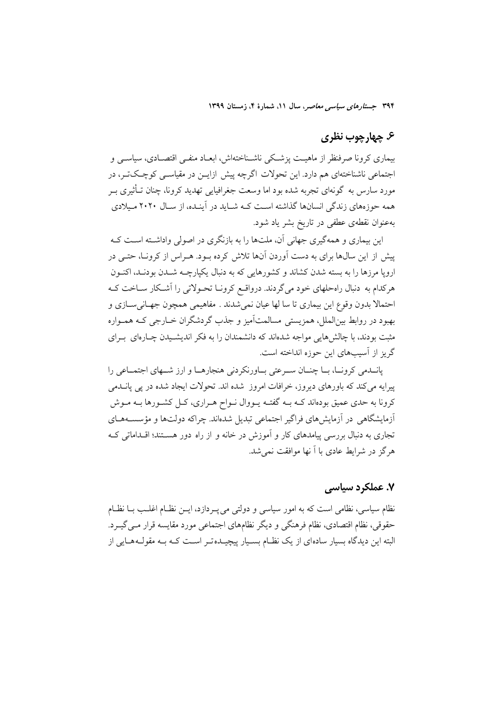## ۶. چهارچوب نظری

بیماری کرونا صرفنظر از ماهیـت یزشـکی ناشـناختهاش، ابعـاد منفـی اقتصـادی، سیاســی و اجتماعی ناشناختهای هم دارد. این تحولات اگرچه پیش ازایــن در مقیاســی کوچـکتــر، در مورد سارس به گونهای تجربه شده بود اما وسعت جغرافیایی تهدید کرونا، چنان تــأثیری بــر همه حوزههای زندگی انسانها گذاشته است کـه شـاید در آینـده، از سـال ۲۰۲۰ مـیلادی بهعنوان نقطهی عطفی در تاریخ بشر یاد شود.

این بیماری و همهگیری جهانی آن، ملتها را به بازنگری در اصولی واداشته است کـه پیش از این سال&ا برای به دست آوردن آنها تلاش کرده بـود. هـراس از کرونـا، حتـی در ارویا مرزها را به بسته شدن کشاند و کشورهایی که به دنبال یکپارچـه شـدن بودنـد، اکنـون هرکدام به دنبال راهحلهای خود میگردند. درواقـع کرونـا تحـولاتی را آشـکار ســاخت کــه احتمالاً بدون وقوع اين بيماري تا سا لها عيان نمي شدند . مفاهيمي همچون جهـانيســازي و بهبود در روابط بینالملل، همزیستی مسالمتآمیز و جذب گردشگران خـارجی کـه همـواره مثبت بودند، با چالشهایی مواجه شدهاند که دانشمندان را به فکر اندیشـیدن چـارهای بـرای گریز از آسیبهای این حوزه انداخته است.

یانــدمی کرونــا، بــا چنــان ســرعتی بــاورنکردنی هنجارهــا و ارز شــهای اجتمــاعی را پیرایه می کند که باورهای دیروز، خرافات امروز شده اند. تحولات ایجاد شده در پی پانسدمی کرونا به حدی عمیق بودهاند کـه بــه گفتــه پــووال نــواح هــراری، کــل کشــورها بــه مــوش أزمایشگاهی در أزمایش های فراگیر اجتماعی تبدیل شدهاند. چراکه دولتها و مؤسسـههــای تجاری به دنبال بررسی پیامدهای کار و آموزش در خانه و از راه دور هستند؛ اقـداماتی کـه هر گز در شرایط عادی با آ نها موافقت نمی شد.

## ۷. عملکرد سیاسی

نظام سیاسی، نظامی است که به امور سیاسی و دولتی می پـردازد، ایــن نظــام اغلــب بــا نظــام حقوقی، نظام اقتصادی، نظام فرهنگی و دیگر نظامهای اجتماعی مورد مقایسه قرار مـی گیــرد. البته این دیدگاه بسیار سادهای از یک نظـام بسـیار پیچیـدهتـر اسـت کــه بــه مقولــههــایی از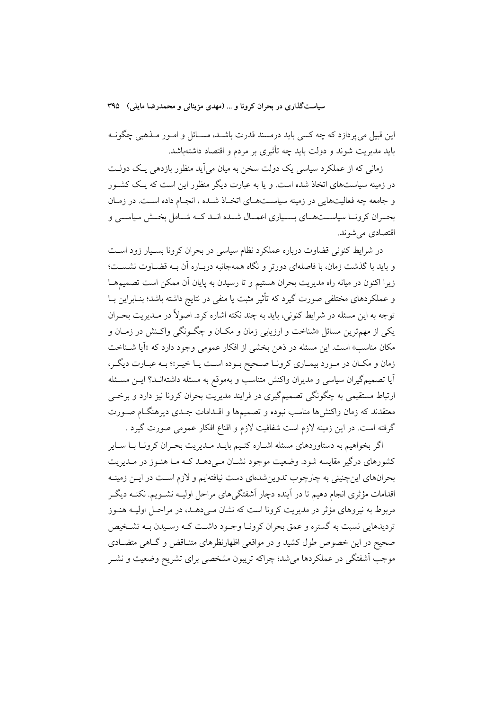این قبیل می پردازد که چه کسی باید درمسند قدرت باشـد، مســائل و امــور مــذهبی چگونــه باید مدیریت شوند و دولت باید چه تأثیری بر مردم و اقتصاد داشتهباشد.

زمانی که از عملکرد سیاسی یک دولت سخن به میان می آید منظور بازدهی یک دولـت در زمینه سیاستهای اتخاذ شده است. و یا به عبارت دیگر منظور این است که یـک کشـور و جامعه چه فعالیتهایی در زمینه سیاستهای اتخـاذ شـده ، انجـام داده اسـت. در زمـان بحـران کرونــا سیاســتهــای بســیاری اعمــال شــده انــد کــه شــامل بخــش سیاســی و اقتصادي مي شوند.

در شرایط کنونی قضاوت درباره عملکرد نظام سیاسی در بحران کرونا بسـیار زود اسـت و باید با گذشت زمان، با فاصلهای دورتر و نگاه همهجانبه دربـاره آن بـه قضـاوت نشســت؛ زیرا اکنون در میانه راه مدیریت بحران هستیم و تا رسیدن به پایان آن ممکن است تصمیمهـا و عملکردهای مختلفی صورت گیرد که تأثیر مثبت یا منفی در نتایج داشته باشد؛ بنـابراین بــا توجه به این مسئله در شرایط کنونی، باید به چند نکته اشاره کرد. اصولاً در مـدیریت بحـران یکی از مهم ترین مسائل «شناخت و ارزیابی زمان و مکـان و چگـونگی واکـنش در زمـان و مکان مناسب» است. این مسئله در ذهن بخشی از افکار عمومی وجود دارد که «اَیا شـناخت زمان و مکان در مورد بیماری کرونا صحیح بوده است یا خیـر»؛ بـه عبـارت دیگـر، آیا تصمیمگیران سیاسی و مدیران واکنش متناسب و بهموقع به مسئله داشتهانــد؟ ایــن مسـئله ارتباط مستقیمی به چگونگی تصمیمگیری در فرایند مدیریت بحران کرونا نیز دارد و برخبی معتقدند که زمان واکنشها مناسب نبوده و تصمیمها و اقــدامات جــدی دیرهنگــام صــورت گرفته است. در این زمینه لازم است شفافیت لازم و اقناع افکار عمومی صورت گیرد .

اگر بخواهیم به دستاوردهای مسئله اشـاره کنـیم بایـد مـدیریت بحـران کرونـا بـا سـایر کشورهای درگیر مقایسه شود. وضعیت موجود نشـان مـی۵هـد کـه مـا هنـوز در مـدیریت بحرانهای اینچنینی به چارچوب تدوین شدهای دست نیافتهایم و لازم اسـت در ایــن زمینــه اقدامات مؤثري انجام دهيم تا در آينده دچار آشفتگي هاي مراحل اوليــه نشــويـم. نكتــه ديگــر مربوط به نیروهای مؤثر در مدیریت کرونا است که نشان مـی دهــد، در مراحـل اولیــه هنــوز تردیدهایی نسبت به گستره و عمق بحران کرونـا وجـود داشــت کـه رسـیدن بـه تشـخیص صحیح در این خصوص طول کشید و در مواقعی اظهارنظرهای متنـاقض و گــاهی متضــادی موجب آشفتگی در عملکردها میشد؛ چراکه تریبون مشخصی برای تشریح وضعیت و نشـر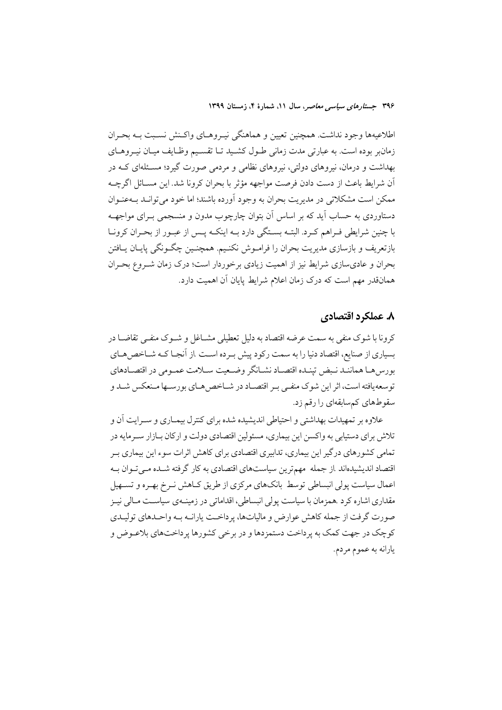اطلاعیهها وجود نداشت. همچنین تعیین و هماهنگی نیـروهـای واکـنش نسـبت بـه بحـران زمانبر بوده است. به عبارتی مدت زمانی طـول کشـید تـا تقسـیم وظـایف میـان نیـروهـای بهداشت و درمان، نیروهای دولتی، نیروهای نظامی و مردمی صورت گیرد؛ مسـئلهای کــه در آن شرايط باعث از دست دادن فرصت مواجهه مؤثر با بحران كرونا شد. اين مسـائل اگرچــه ممکن است مشکلاتی در مدیریت بحران به وجود آورده باشند؛ اما خود می توانـد بــهعنــوان دستاوردی به حساب آید که بر اساس آن بتوان چارچوب مدون و منسجمی بـرای مواجهــه با چنین شرایطی فـراهم کـرد. البتــه بسـتگی دارد بــه اینکــه پــس از عبـور از بحـران کرونــا بازتعریف و بازسازی مدیریت بحران را فرامـوش نکنـیم. همچنـین چگـونگی پایـان یـافتن بحران و عادیسازی شرایط نیز از اهمیت زیادی برخوردار است؛ درک زمان شـروع بحـران همانقدر مهم است که درک زمان اعلام شرایط پایان آن اهمیت دارد.

## ٨. عملكرد اقتصادي

کرونا با شوک منفی به سمت عرضه اقتصاد به دلیل تعطیلی مشــاغل و شــوک منفــی تقاضــا در بسیاری از صنایع، اقتصاد دنیا را به سمت رکود پیش بـرده اسـت .از آنجـا کـه شـاخص۵هـای بورس هـا هماننـد نـبض تپنـده اقتصـاد نشـانگر وضـعيت سـلامت عمـومى در اقتصـادهاى توسعه یافته است، اثر این شوک منفـی بـر اقتصـاد در شـاخص هـای بورسـها مـنعکس شـد و سقوطهای کمسابقهای را رقم زد.

علاوه بر تمهیدات بهداشتی و احتیاطی اندیشیده شده برای کنترل بیمـاری و سـرایت آن و تلاش برای دستیابی به واکسن این بیماری، مسئولین اقتصادی دولت و ارکان بـازار سـرمایه در تمامی کشورهای درگیر این بیماری، تدابیری اقتصادی برای کاهش اثرات سوء این بیماری بـر اقتصاد اندیشیدهاند از جمله مهمترین سیاستهای اقتصادی به کار گرفته شـده مـی تـوان بـه اعمال سیاست پولی انبساطی توسط بانکهای مرکزی از طریق کـاهش نـرخ بهـره و تســهیل مقداری اشاره کرد .همزمان با سیاست پولی انبساطی، اقداماتی در زمینــهی سیاســت مــالی نیــز صورت گرفت از جمله کاهش عوارض و مالیاتها، پرداخـت پارانــه بــه واحــدهای تولیــدی کوچک در جهت کمک به پر داخت دستمزدها و در برخی کشورها پر داختهای بلاعـوض و يارانه به عموم مردم.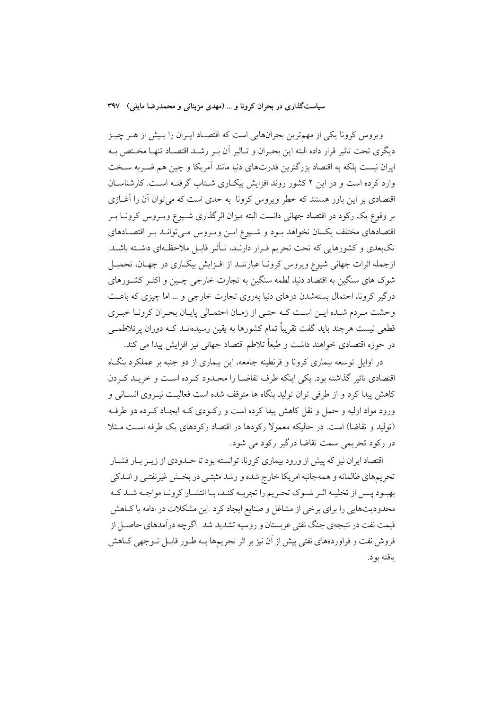ویروس کرونا یکی از مهمترین بحرانهایی است که اقتصـاد ایـران را بـیش از هـر چیـز ديگرى تحت تاثير قرار داده البته اين بحـران و تــاثير أن بــر رشــد اقتصــاد تنهــا مخــتص بــه ایران نیست بلکه به اقتصاد بزرگترین قدرتهای دنیا مانند آمریکا و چین هم ضـربه سـخت وارد کرده است و در این ۲ کشور روند افزایش بیکباری شتاب گرفتـه اسـت. کارشناسـان اقتصادی بر این باور هستند که خطر ویروس کرونا به حدی است که می توان آن را آغــازی بر وقوع یک رکود در اقتصاد جهانی دانست البته میزان اثرگذاری شـیوع ویـروس کرونـا بـر اقتصادهای مختلف یکسان نخواهد بـود و شـيوع ايـن ويـروس مـیتوانـد بـر اقتصـادهای تکبعدی و کشورهایی که تحت تحریم قـرار دارنــد، تــأثیر قابــل ملاحظــهای داشــته باشــد. ازجمله اثرات جهانی شیوع ویروس کرونـا عبارتنـد از افـزایش بیکـاری در جهـان، تحمیـل شوک های سنگین به اقتصاد دنیا، لطمه سنگین به تجارت خارجی چــین و اکثــر کشــورهای درگیر کرونا، احتمال بستهشدن درهای دنیا بهروی تجارت خارجی و … اما چیزی که باعث وحشت مردم شـده ايـن اسـت كـه حتـى از زمـان احتمـالى پايـان بحـران كرونـا خبـرى قطعی نیست هرچند باید گفت تقریباً تمام کشورها به یقین رسیدهانـد کــه دوران پرتلاطمــی در حوزه اقتصادي خواهند داشت و طبعاً تلاطم اقتصاد جهاني نيز افزايش پيدا مي كند.

در اوایل توسعه بیماری کرونا و قرنطینه جامعه، این بیماری از دو جنبه بر عملکرد بنگـاه اقتصادی تاثیر گذاشته بود. یکی اینکه طرف تقاضـا را محـدود کـرده اسـت و خریـد کـردن کاهش پیدا کرد و از طرفی توان تولید بنگاه ها متوقف شده است فعالیـت نیــروی انســانی و ورود مواد اولیه و حمل و نقل کاهش پیدا کرده است و رکودی کـه ایجـاد کـرده دو طرفـه (تولید و تقاضا) است. در حالیکه معمولاً رکودها در اقتصاد رکودهای یک طرفه است مـثلا در رکود تحریمی سمت تقاضا درگیر رکود می شود.

اقتصاد ایران نیز که پیش از ورود بیماری کرونا، توانسته بود تا حــدودی از زیــر بــار فشــار تحریمهای ظالمانه و همهجانبه امریکا خارج شده و رشد مثبتـی در بخـش غیرنفتـی و انــدکی بهبود يـس از تخليـه اثـر شـوك تحـريم را تجربـه كنـد، بـا انتشـار كرونـا مواجـه شـد كـه محدودیتهایی را برای برخی از مشاغل و صنایع ایجاد کرد .این مشکلات در ادامه با کـاهش قیمت نفت در نتیجهی جنگ نفتی عربستان و روسیه تشدید شد .اگر چه درآمدهای حاصـل از فروش نفت و فراوردههای نفتی پیش از آن نیز بر اثر تحریمها بــه طــور قابــل تــوجهی كــاهش بافته بو د.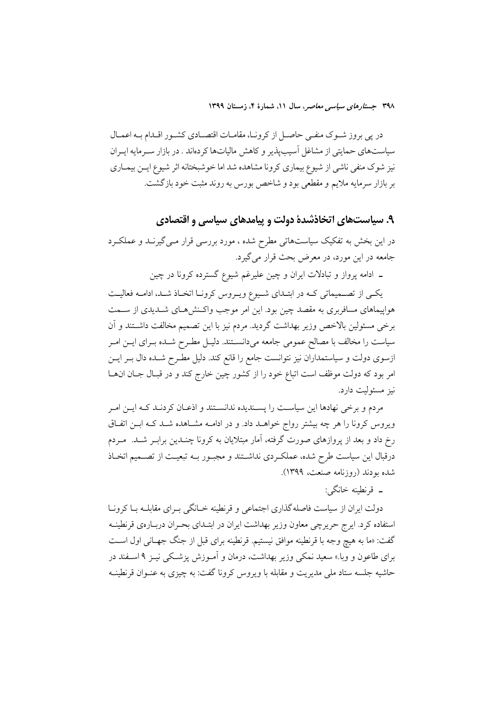در پی بروز شـوک منفـی حاصـل از کرونـا، مقامـات اقتصـادی کشـور اقــدام بــه اعمــال سیاستهای حمایتی از مشاغل آسیبپذیر و کاهش مالیاتها کردهاند . در بازار سـرمایه ایـران نیز شوک منفی ناشی از شیوع بیماری کرونا مشاهده شد اما خوشبختانه اثر شیوع ایــن بیمــاری بر بازار سرمایه ملایم و مقطعی بود و شاخص بورس به روند مثبت خود بازگشت.

۹. سیاستهای اتخاذشدهٔ دولت و پیامدهای سیاسی و اقتصادی

در این بخش به تفکیک سیاستهاتی مطرح شده ، مورد بررسی قرار مـیگیرنــد و عملکــرد جامعه در این مورد، در معرض بحث قرار میگیرد.

ـ ادامه پرواز و تبادلات ایران و چین علیرغم شیوع گسترده کرونا در چین

یکمی از تصمیماتی کـه در ابتـدای شـیوع ویـروس کرونـا اتخـاذ شـد، ادامـه فعالیـت هواپیماهای مسافربری به مقصد چین بود. این امر موجب واکـنش۵هـای شــدیدی از ســمت برخی مسئولین بالاخص وزیر بهداشت گردید. مردم نیز با این تصمیم مخالفت داشـتند و آن سیاست را مخالف با مصالح عمومی جامعه میدانســتند. دلیـل مطـرح شــده بــرای ایــن امــر ازسوی دولت و سیاستمداران نیز نتوانست جامع را قانع کند. دلیل مطـرح شـده دال بــر ایــن امر بود که دولت موظف است اتباع خود را از کشور چین خارج کند و در قبال جـان انهـا نيز مسئوليت دارد.

مردم و برخی نهادها این سیاست را پسـندیده ندانسـتند و اذعـان کردنـد کـه ایــن امـر ویروس کرونا را هر چه بیشتر رواج خواهـد داد. و در ادامــه مشــاهده شــد کــه ابــن اتفــاق رخ داد و بعد از یروازهای صورت گرفته، آمار مبتلایان به کرونا چنـدین برابـر شـد. ً مـردم درقبال این سیاست طرح شده، عملک دی نداشــتند و مجبــور بــه تبعیــت از تصـــمیم اتخــاذ شده بودند (روزنامه صنعت، ۱۳۹۹).

۔ قرنطبنه خانگے:

دولت ایران از سیاست فاصله گذاری اجتماعی و قرنطینه خـانگی بـرای مقابلــه بــا کرونــا استفاده کرد. ایرج حریرچی معاون وزیر بهداشت ایران در ابتـدای بحـران دربـارهی قرنطینــه گفت: «ما به هیچ وجه با قرنطینه موافق نیستیم. قرنطینه برای قبل از جنگ جهـانی اول اسـت برای طاعون و وبا.» سعید نمک<sub>ی</sub> وزیر بهداشت، درمان و اَمـوزش پزشـکی نیــز ۹ اســفند در حاشیه جلسه ستاد ملی مدیریت و مقابله با ویروس کرونا گفت: به چیزی به عنــوان قرنطینــه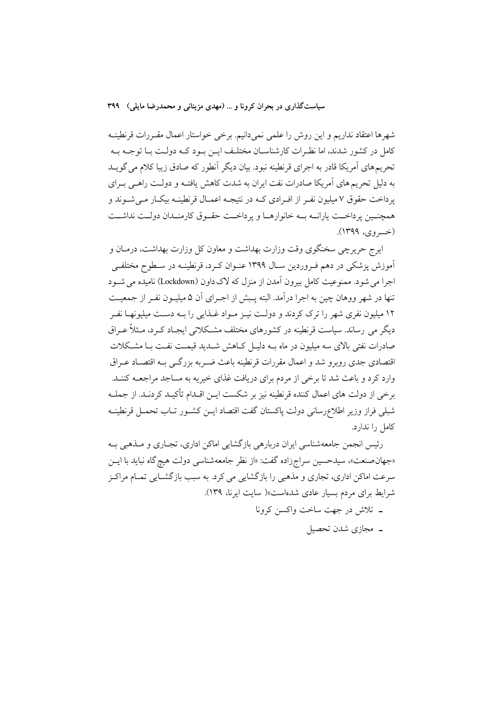شهرها اعتقاد نداريم و اين روش را علمي نميدانيم. برخي خواستار اعمال مقـررات قرنطينــه کامل در کشور شدند، اما نظـرات کارشناسـان مختلـف ايــن بــود کــه دولــت بــا توجــه بــه تحریمهای آمریکا قادر به اجرای قرنطینه نبود. بیان دیگر آنطور که صادق زیبا کلام می گویـد به دلیل تحریم های آمریکا صادرات نفت ایران به شدت کاهش یافتـه و دولـت راهـی بـرای یر داخت حقوق ۷ میلیون نفـر از افـرادی کـه در نتیجـه اعمـال قرنطینـه بیکـار مـی شــوند و همچنیین پرداخت پارانــه بــه خانوارهــا و پرداخــت حقــوق كارمنــدان دولــت نداشــت (خسروي، ۱۳۹۹).

ایرج حریرچی سخنگوی وقت وزارت بهداشت و معاون کل وزارت بهداشت، درمـان و آموزش پزشکی در دهم فـروردین سـال ۱۳۹۹ عنــوان کــرد، قرنطینــه در ســطوح مختلفــی اجرا می شود. ممنوعت کامل پیرون آمدن از منزل که لاک داون (Lockdown) نامیده می شـود تنها در شهر ووهان چین به اجرا درآمد. البته پـبش از اجـرای آن ۵ میلیـون نفـر از جمعیـت ۱۲ میلیون نفری شهر را ترک کردند و دولـت نیـز مـواد غـذایی را بـه دسـت میلیونهـا نفـر دیگر می رساند. سیاست قرنطینه در کشورهای مختلف مشـکلاتی ایجـاد کـرد، مـثلاً عـراق صادرات نفتی بالای سه میلیون در ماه بــه دلیــل کــاهش شـــدید قیمــت نفــت بــا مشــکلات اقتصادی جدی روبرو شد و اعمال مقررات قرنطینه باعث ضـربه بزرگـی بـه اقتصـاد عـراق وارد کرد و باعث شد تا برخی از مردم برای دریافت غذای خیریه به مساجد مراجعــه کننــد. برخی از دولت های اعمال کننده قرنطینه نیز بر شکست ایـن اقــدام تأکیــد کردنــد. از جملــه شبلي فراز وزير اطلاعرساني دولت پاكستان گفت اقتصاد ايــن كشــور تــاب تحمــل قرنطينــه كامل را ندارد.

رئیس انجمن جامعهشناسی ایران دربارهی بازگشایی اماکن اداری، تجـاری و مـذهبی بـه «جهان صنعت»، سیدحسین سراجزاده گفت: «از نظر جامعهشناسی دولت هیچ گاه نباید با ایــن سرعت اماکن اداری، تجاری و مذهبی را بازگشایی می کرد. به سبب بازگشــایی تمــام مراکــز شرايط براي مردم بسيار عادي شدهاست»( سايت ايرنا، ١٣٩).

- ـ تلاش در جهت ساخت واکسن کرونا
	- ۔ مجازی شدن تحصیل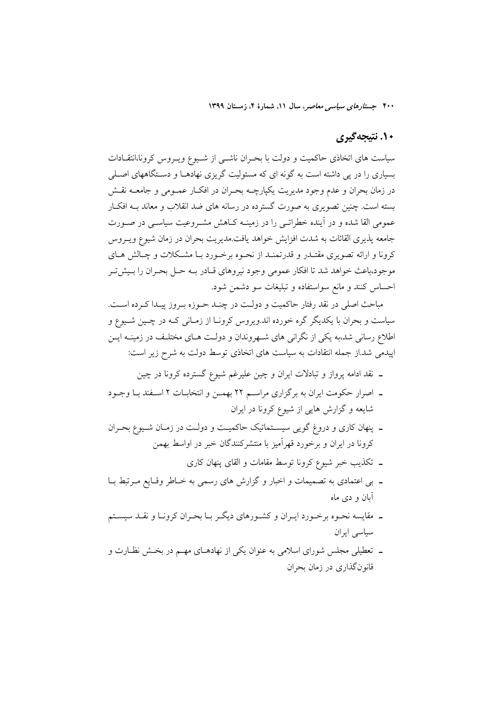# ۱۰. نتیجهگیری

سیاست های اتخاذی حاکمیت و دولت با بحـران ناشـبی از شـیوع ویـروس کرونا،انتقـادات بسیاری را در پی داشته است به گونه ای که مسئولیت گریزی نهادهــا و دســتگاههای اصــلی در زمان بحران و عدم وجود مديريت يكيارچــه بحـران در افكــار عمــومي و جامعــه نقــش بسته است. چنین تصویری به صورت گسترده در رسانه های ضد انقلاب و معاند بـه افکـار عمومی القا شده و در آینده خطراتـی را در زمینــه کــاهش مشــروعیت سیاســی در صــورت جامعه پذیری القائات به شدت افزایش خواهد یافت.مدیریت بحران در زمان شیوع ویـروس کرونا و ارائه تصویری مقتـدر و قدرتمنـد از نحـوه برخـورد بـا مشـکلات و چـالش هـای موجود،باعث خواهد شد تا افكار عمومي وجود نيروهاي قـادر بــه حــل بحـران را بــيش تــر احساس كنند و مانع سواستفاده و تبليغات سو دشمن شود.

مباحث اصلی در نقد رفتار حاکمیت و دولت در چنـد حـوزه بـروز پیـدا کـرده اسـت. سیاست و بحران با یکدیگر گره خورده اند.ویروس کرونـا از زمـانی کـه در چـین شـیوع و اطلاع رسانی شد،به یکی از نگرانی های شــهروندان و دولـت هــای مختلـف در زمینــه ایــن اپیدمی شد.از جمله انتقادات به سیاست های اتخاذی توسط دولت به شرح زیر است:

- ـ نقد ادامه پرواز و تبادلات ایران و چین علیرغم شیوع گسترده کرونا در چین
- ـ اصرار حکومت ایران به برگزاری مراسـم ۲۲ بهمـن و انتخابــات ۲ اســفند بــا وجــود شایعه و گزارش هایی از شیوع کرونا در ایران
- ـ پنهان کاری و دروغ گویی سیسـتماتیک حاکمیـت و دولـت در زمـان شـیوع بحـران کرونا در ایران و برخورد قهرآمیز با منتشرکنندگان خبر در اواسط بهمن
	- ۔ تکذیب خبر شیوع کرونا توسط مقامات و القای پنهان کاری
- ـ بی اعتمادی به تصمیمات و اخبار و گزارش های رسمی به خـاطر وقـایع مـرتبط بــا آبان و دی ماه
- ـ مقایسه نحـوه برخـورد ایـران و کشـورهای دیگـر بـا بحـران کرونـا و نقـد سیسـتم سیاسی ایران
- ــ تعطیلی مجلس شورای اسلامی به عنوان یکی از نهادهـای مهــم در بخــش نظــارت و قانونگذاری در زمان بحران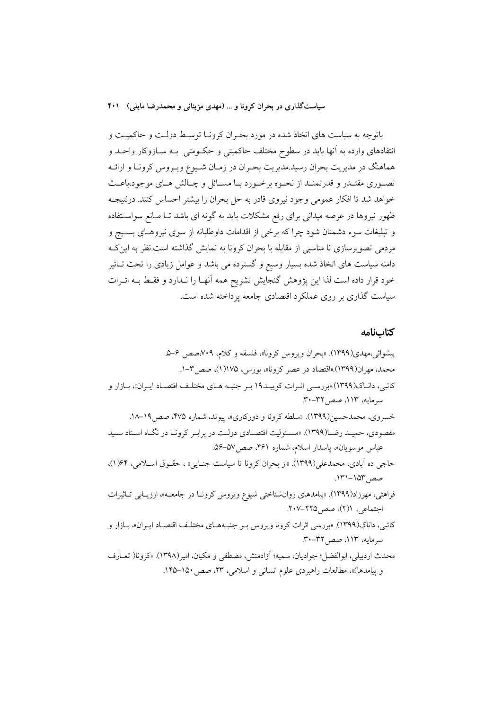باتوجه به سیاست های اتخاذ شده در مورد بحـران کرونـا توسـط دولـت و حاکمیـت و انتقادهای وارده به آنها باید در سطوح مختلف حاکمیتی و حکــومتی بــه ســازوکار واحــد و هماهنگ در مدیریت بحران رسید.مدیریت بحـران در زمـان شـیوع ویـروس کرونـا و ارائــه تصـوري مقتـدر و قدرتمنـد از نحـوه برخـورد بـا مسـائل و چـالش هـاي موجود،باعـث خواهد شد تا افکار عمومی وجود نیروی قادر به حل بحران را بیشتر احساس کنند. درنتیجــه ظهور نیروها در عرصه میدانی برای رفع مشکلات باید به گونه ای باشد تـا مـانع سواسـتفاده و تبلیغات سوء دشمنان شود چرا که برخی از اقدامات داوطلبانه از سوی نیروهـای بسـیج و مردمی تصویرسازی نا مناسبی از مقابله با بحران کرونا به نمایش گذاشته است.نظر به این ک دامنه سیاست های اتخاذ شده بسیار وسیع و گسترده می باشد و عوامل زیادی را تحت تــاثیر خود قرار داده است لذا این پژوهش گنجایش تشریح همه آنهـا را نــدارد و فقـط بــه اثــرات سیاست گذاری بر روی عملکرد اقتصادی جامعه پرداخته شده است.

#### كتابنامه